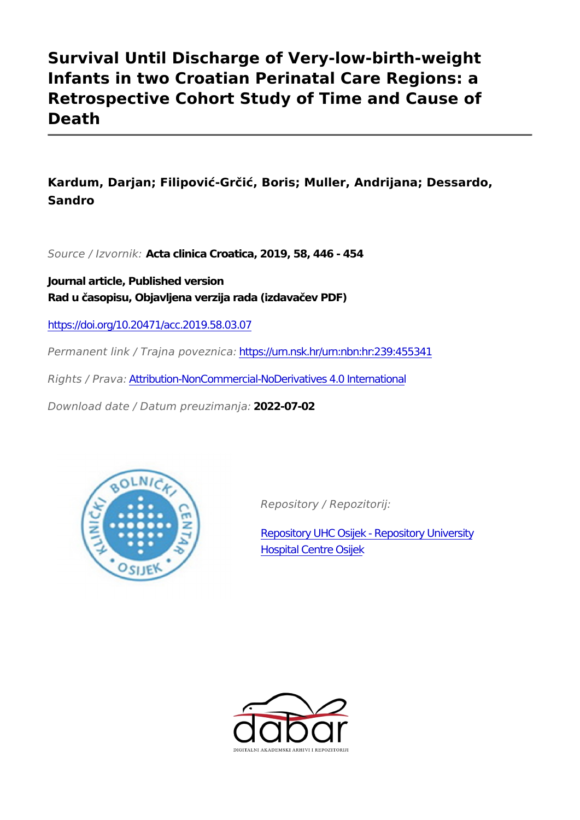# **Survival Until Discharge of Very-low-birth-weight Infants in two Croatian Perinatal Care Regions: a Retrospective Cohort Study of Time and Cause of Death**

**Kardum, Darjan; Filipović-Grčić, Boris; Muller, Andrijana; Dessardo, Sandro**

*Source / Izvornik:* **Acta clinica Croatica, 2019, 58, 446 - 454**

**Journal article, Published version Rad u časopisu, Objavljena verzija rada (izdavačev PDF)**

<https://doi.org/10.20471/acc.2019.58.03.07>

*Permanent link / Trajna poveznica:* <https://urn.nsk.hr/urn:nbn:hr:239:455341>

*Rights / Prava:* [Attribution-NonCommercial-NoDerivatives 4.0 International](http://creativecommons.org/licenses/by-nc-nd/4.0/)

*Download date / Datum preuzimanja:* **2022-07-02**



*Repository / Repozitorij:*

[Repository UHC Osijek - Repository University](https://repozitorij.kbco.hr) [Hospital Centre Osijek](https://repozitorij.kbco.hr)

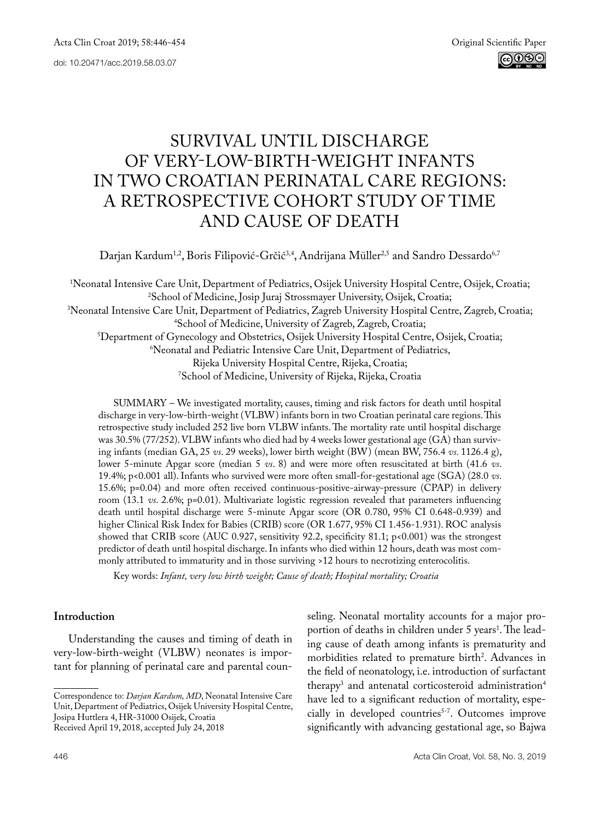## SURVIVAL UNTIL DISCHARGE OF VERY-LOW-BIRTH-WEIGHT INFANTS IN TWO CROATIAN PERINATAL CARE REGIONS: A RETROSPECTIVE COHORT STUDY OF TIME AND CAUSE OF DEATH

Darjan Kardum<sup>1,2</sup>, Boris Filipović-Grčić<sup>3,4</sup>, Andrijana Müller<sup>2,5</sup> and Sandro Dessardo<sup>6,7</sup>

1 Neonatal Intensive Care Unit, Department of Pediatrics, Osijek University Hospital Centre, Osijek, Croatia; 2 School of Medicine, Josip Juraj Strossmayer University, Osijek, Croatia;<br>3Neonatal Intensive Care Unit Department of Pediatrics. Zagreb University Hospital Centr Neonatal Intensive Care Unit, Department of Pediatrics, Zagreb University Hospital Centre, Zagreb, Croatia;<br>4School of Medicine. University of Zagreb. Zagreb. Croatia: School of Medicine, University of Zagreb, Zagreb, Croatia;"<br>Department of Gynecology and Obstetrics. Osijek University Hospital Centr<sup>5</sup> Department of Gynecology and Obstetrics, Osijek University Hospital Centre, Osijek, Croatia;<br><sup>6</sup>Neonatal and Pediatric Intensive Care Unit Department of Pediatrics Neonatal and Pediatric Intensive Care Unit, Department of Pediatrics, Rijeka University Hospital Centre, Rijeka, Croatia; 7 School of Medicine, University of Rijeka, Rijeka, Croatia

SUMMARY – We investigated mortality, causes, timing and risk factors for death until hospital discharge in very-low-birth-weight (VLBW) infants born in two Croatian perinatal care regions. This retrospective study included 252 live born VLBW infants. The mortality rate until hospital discharge was 30.5% (77/252). VLBW infants who died had by 4 weeks lower gestational age (GA) than surviving infants (median GA, 25 *vs*. 29 weeks), lower birth weight (BW) (mean BW, 756.4 *vs*. 1126.4 g), lower 5-minute Apgar score (median 5 *vs*. 8) and were more often resuscitated at birth (41.6 *vs*. 19.4%; p<0.001 all). Infants who survived were more often small-for-gestational age (SGA) (28.0 *vs*. 15.6%; p=0.04) and more often received continuous-positive-airway-pressure (CPAP) in delivery room (13.1 *vs*. 2.6%; p=0.01). Multivariate logistic regression revealed that parameters influencing death until hospital discharge were 5-minute Apgar score (OR 0.780, 95% CI 0.648-0.939) and higher Clinical Risk Index for Babies (CRIB) score (OR 1.677, 95% CI 1.456-1.931). ROC analysis showed that CRIB score (AUC 0.927, sensitivity 92.2, specificity 81.1; p<0.001) was the strongest predictor of death until hospital discharge. In infants who died within 12 hours, death was most commonly attributed to immaturity and in those surviving >12 hours to necrotizing enterocolitis.

Key words: *Infant, very low birth weight; Cause of death; Hospital mortality; Croatia*

## **Introduction**

Understanding the causes and timing of death in very-low-birth-weight (VLBW) neonates is important for planning of perinatal care and parental counseling. Neonatal mortality accounts for a major proportion of deaths in children under 5 years<sup>1</sup>. The leading cause of death among infants is prematurity and morbidities related to premature birth<sup>2</sup>. Advances in the field of neonatology, i.e. introduction of surfactant therapy<sup>3</sup> and antenatal corticosteroid administration<sup>4</sup> have led to a significant reduction of mortality, especially in developed countries<sup>5-7</sup>. Outcomes improve significantly with advancing gestational age, so Bajwa

Correspondence to: *Darjan Kardum, MD*, Neonatal Intensive Care Unit, Department of Pediatrics, Osijek University Hospital Centre, Josipa Huttlera 4, HR-31000 Osijek, Croatia Received April 19, 2018, accepted July 24, 2018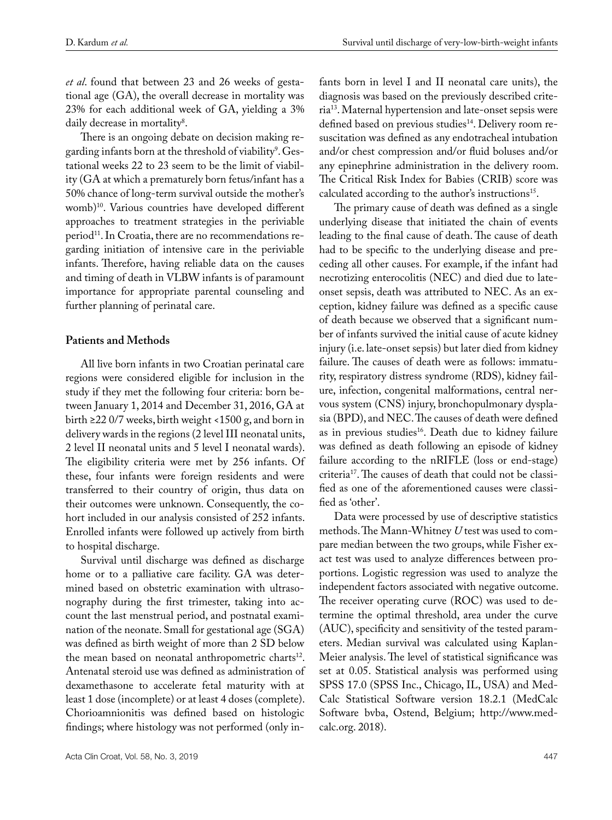*et al*. found that between 23 and 26 weeks of gestational age (GA), the overall decrease in mortality was 23% for each additional week of GA, yielding a 3% daily decrease in mortality<sup>8</sup>.

There is an ongoing debate on decision making regarding infants born at the threshold of viability<sup>9</sup>. Gestational weeks 22 to 23 seem to be the limit of viability (GA at which a prematurely born fetus/infant has a 50% chance of long-term survival outside the mother's womb)10. Various countries have developed different approaches to treatment strategies in the periviable period<sup>11</sup>. In Croatia, there are no recommendations regarding initiation of intensive care in the periviable infants. Therefore, having reliable data on the causes and timing of death in VLBW infants is of paramount importance for appropriate parental counseling and further planning of perinatal care.

## **Patients and Methods**

All live born infants in two Croatian perinatal care regions were considered eligible for inclusion in the study if they met the following four criteria: born between January 1, 2014 and December 31, 2016, GA at birth ≥22 0/7 weeks, birth weight <1500 g, and born in delivery wards in the regions (2 level III neonatal units, 2 level II neonatal units and 5 level I neonatal wards). The eligibility criteria were met by 256 infants. Of these, four infants were foreign residents and were transferred to their country of origin, thus data on their outcomes were unknown. Consequently, the cohort included in our analysis consisted of 252 infants. Enrolled infants were followed up actively from birth to hospital discharge.

Survival until discharge was defined as discharge home or to a palliative care facility. GA was determined based on obstetric examination with ultrasonography during the first trimester, taking into account the last menstrual period, and postnatal examination of the neonate. Small for gestational age (SGA) was defined as birth weight of more than 2 SD below the mean based on neonatal anthropometric charts<sup>12</sup>. Antenatal steroid use was defined as administration of dexamethasone to accelerate fetal maturity with at least 1 dose (incomplete) or at least 4 doses (complete). Chorioamnionitis was defined based on histologic findings; where histology was not performed (only in-

fants born in level I and II neonatal care units), the diagnosis was based on the previously described criteria13. Maternal hypertension and late-onset sepsis were defined based on previous studies<sup>14</sup>. Delivery room resuscitation was defined as any endotracheal intubation and/or chest compression and/or fluid boluses and/or any epinephrine administration in the delivery room. The Critical Risk Index for Babies (CRIB) score was calculated according to the author's instructions<sup>15</sup>.

The primary cause of death was defined as a single underlying disease that initiated the chain of events leading to the final cause of death. The cause of death had to be specific to the underlying disease and preceding all other causes. For example, if the infant had necrotizing enterocolitis (NEC) and died due to lateonset sepsis, death was attributed to NEC. As an exception, kidney failure was defined as a specific cause of death because we observed that a significant number of infants survived the initial cause of acute kidney injury (i.e. late-onset sepsis) but later died from kidney failure. The causes of death were as follows: immaturity, respiratory distress syndrome (RDS), kidney failure, infection, congenital malformations, central nervous system (CNS) injury, bronchopulmonary dysplasia (BPD), and NEC. The causes of death were defined as in previous studies<sup>16</sup>. Death due to kidney failure was defined as death following an episode of kidney failure according to the nRIFLE (loss or end-stage) criteria17. The causes of death that could not be classified as one of the aforementioned causes were classified as 'other'.

Data were processed by use of descriptive statistics methods. The Mann-Whitney *U* test was used to compare median between the two groups, while Fisher exact test was used to analyze differences between proportions. Logistic regression was used to analyze the independent factors associated with negative outcome. The receiver operating curve (ROC) was used to determine the optimal threshold, area under the curve (AUC), specificity and sensitivity of the tested parameters. Median survival was calculated using Kaplan-Meier analysis. The level of statistical significance was set at 0.05. Statistical analysis was performed using SPSS 17.0 (SPSS Inc., Chicago, IL, USA) and Med-Calc Statistical Software version 18.2.1 (MedCalc Software bvba, Ostend, Belgium; http://www.medcalc.org. 2018).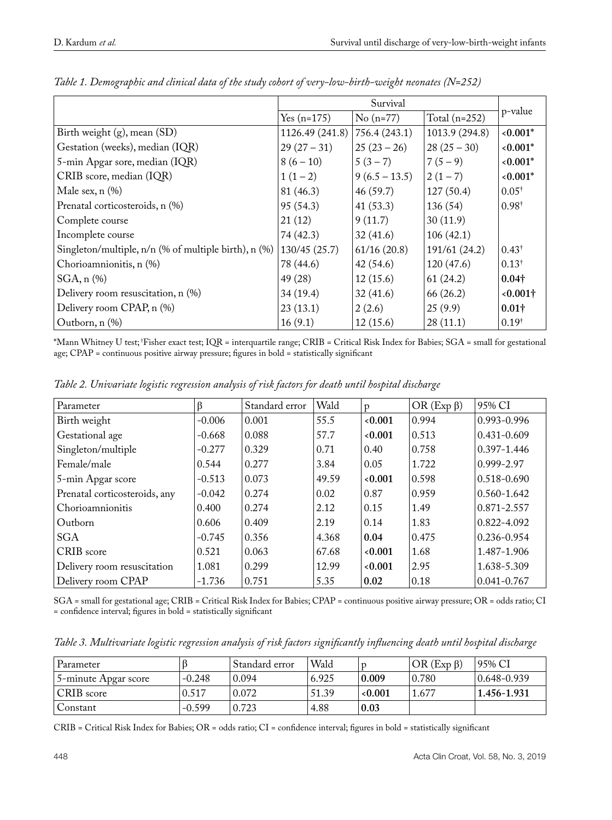|                                                          | Survival        |               |                 |                  |  |  |  |
|----------------------------------------------------------|-----------------|---------------|-----------------|------------------|--|--|--|
|                                                          | Yes $(n=175)$   | $No(n=77)$    | Total $(n=252)$ | p-value          |  |  |  |
| Birth weight (g), mean (SD)                              | 1126.49 (241.8) | 756.4(243.1)  | 1013.9 (294.8)  | $0.001*$         |  |  |  |
| Gestation (weeks), median (IQR)                          | $29(27-31)$     | $25(23-26)$   | $28(25-30)$     | $0.001*$         |  |  |  |
| 5-min Apgar sore, median (IQR)                           | $8(6-10)$       | $5(3-7)$      | $7(5-9)$        | $< 0.001*$       |  |  |  |
| CRIB score, median (IQR)                                 | $1(1-2)$        | $9(6.5-13.5)$ | $2(1-7)$        | $0.001*$         |  |  |  |
| Male sex, $n$ $(\%)$                                     | 81 (46.3)       | 46(59.7)      | 127(50.4)       | $0.05^+$         |  |  |  |
| Prenatal corticosteroids, n (%)                          | 95(54.3)        | 41(53.3)      | 136(54)         | $0.98^{\dagger}$ |  |  |  |
| Complete course                                          | 21(12)          | 9(11.7)       | 30(11.9)        |                  |  |  |  |
| Incomplete course                                        | 74(42.3)        | 32(41.6)      | 106(42.1)       |                  |  |  |  |
| Singleton/multiple, $n/n$ (% of multiple birth), $n$ (%) | 130/45(25.7)    | 61/16(20.8)   | 191/61 (24.2)   | $0.43^+$         |  |  |  |
| Chorioamnionitis, n (%)                                  | 78 (44.6)       | 42(54.6)      | 120(47.6)       | $0.13^{+}$       |  |  |  |
| $SGA, n$ $%$                                             | 49 (28)         | 12(15.6)      | 61(24.2)        | $0.04\dagger$    |  |  |  |
| Delivery room resuscitation, n (%)                       | 34(19.4)        | 32(41.6)      | 66(26.2)        | $0.001$ †        |  |  |  |
| Delivery room CPAP, n (%)                                | 23(13.1)        | 2(2.6)        | 25(9.9)         | $0.01\dagger$    |  |  |  |
| Outborn, n (%)                                           | 16(9.1)         | 12(15.6)      | 28(11.1)        | $0.19^{+}$       |  |  |  |

*Table 1. Demographic and clinical data of the study cohort of very-low-birth-weight neonates (N=252)*

\*Mann Whitney U test; †Fisher exact test; IQR = interquartile range; CRIB = Critical Risk Index for Babies; SGA = small for gestational age; CPAP = continuous positive airway pressure; figures in bold = statistically significant

| Parameter                     | β        | Standard error | Wald  | p      | OR $(Exp \beta)$ | 95% CI          |
|-------------------------------|----------|----------------|-------|--------|------------------|-----------------|
| Birth weight                  | $-0.006$ | 0.001          | 55.5  | 0.001  | 0.994            | 0.993-0.996     |
| Gestational age               | $-0.668$ | 0.088          | 57.7  | <0.001 | 0.513            | $0.431 - 0.609$ |
| Singleton/multiple            | $-0.277$ | 0.329          | 0.71  | 0.40   | 0.758            | $0.397 - 1.446$ |
| Female/male                   | 0.544    | 0.277          | 3.84  | 0.05   | 1.722            | $0.999 - 2.97$  |
| 5-min Apgar score             | $-0.513$ | 0.073          | 49.59 | 0.001  | 0.598            | $0.518 - 0.690$ |
| Prenatal corticosteroids, any | $-0.042$ | 0.274          | 0.02  | 0.87   | 0.959            | $0.560 - 1.642$ |
| Chorioamnionitis              | 0.400    | 0.274          | 2.12  | 0.15   | 1.49             | $0.871 - 2.557$ |
| Outborn                       | 0.606    | 0.409          | 2.19  | 0.14   | 1.83             | $0.822 - 4.092$ |
| SGA                           | $-0.745$ | 0.356          | 4.368 | 0.04   | 0.475            | $0.236 - 0.954$ |
| CRIB score                    | 0.521    | 0.063          | 67.68 | 0.001  | 1.68             | 1.487-1.906     |
| Delivery room resuscitation   | 1.081    | 0.299          | 12.99 | 0.001  | 2.95             | 1.638-5.309     |
| Delivery room CPAP            | $-1.736$ | 0.751          | 5.35  | 0.02   | 0.18             | $0.041 - 0.767$ |

*Table 2. Univariate logistic regression analysis of risk factors for death until hospital discharge*

SGA = small for gestational age; CRIB = Critical Risk Index for Babies; CPAP = continuous positive airway pressure; OR = odds ratio; CI = confidence interval; figures in bold = statistically significant

*Table 3. Multivariate logistic regression analysis of risk factors significantly influencing death until hospital discharge*

| Parameter            |          | ⊦Standard error | Wald  |       | $OR$ (Exp $\beta$ ) | 95% CI          |
|----------------------|----------|-----------------|-------|-------|---------------------|-----------------|
| 5-minute Apgar score | $-0.248$ | 0.094           | 6.925 | 0.009 | 0.780               | $0.648 - 0.939$ |
| CRIB score           | 0.517    | 0.072           | 51.39 | 0.001 | 1.677               | 1.456-1.931     |
| Constant             | $-0.599$ | 0.723           | 4.88  | 0.03  |                     |                 |

CRIB = Critical Risk Index for Babies; OR = odds ratio; CI = confidence interval; figures in bold = statistically significant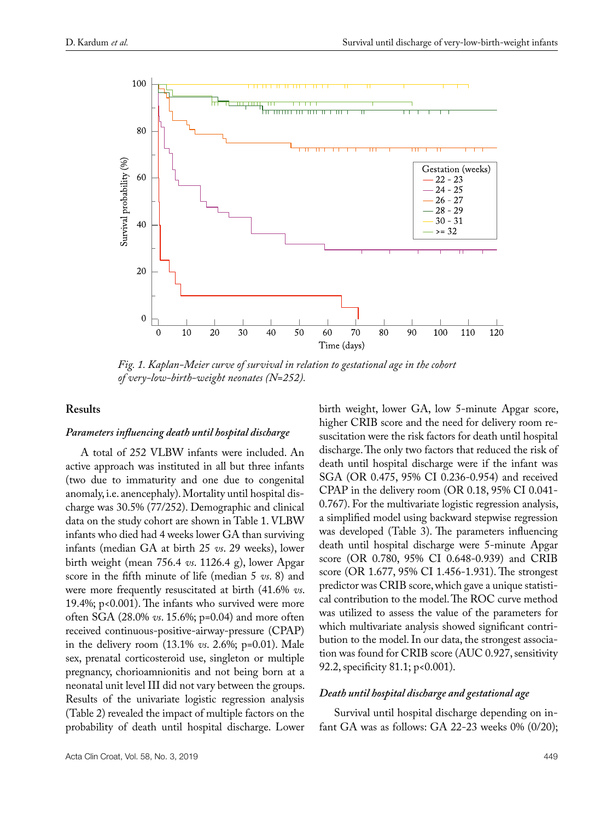

*Fig. 1. Kaplan-Meier curve of survival in relation to gestational age in the cohort of very-low-birth-weight neonates (N=252).*

#### **Results**

#### *Parameters influencing death until hospital discharge*

A total of 252 VLBW infants were included. An active approach was instituted in all but three infants (two due to immaturity and one due to congenital anomaly, i.e. anencephaly). Mortality until hospital discharge was 30.5% (77/252). Demographic and clinical data on the study cohort are shown in Table 1. VLBW infants who died had 4 weeks lower GA than surviving infants (median GA at birth 25 *vs*. 29 weeks), lower birth weight (mean 756.4 *vs*. 1126.4 g), lower Apgar score in the fifth minute of life (median 5 *vs*. 8) and were more frequently resuscitated at birth (41.6% *vs*. 19.4%; p<0.001). The infants who survived were more often SGA (28.0% *vs*. 15.6%; p=0.04) and more often received continuous-positive-airway-pressure (CPAP) in the delivery room (13.1% *vs*. 2.6%; p=0.01). Male sex, prenatal corticosteroid use, singleton or multiple pregnancy, chorioamnionitis and not being born at a neonatal unit level III did not vary between the groups. Results of the univariate logistic regression analysis (Table 2) revealed the impact of multiple factors on the probability of death until hospital discharge. Lower

birth weight, lower GA, low 5-minute Apgar score, higher CRIB score and the need for delivery room resuscitation were the risk factors for death until hospital discharge. The only two factors that reduced the risk of death until hospital discharge were if the infant was SGA (OR 0.475, 95% CI 0.236-0.954) and received CPAP in the delivery room (OR 0.18, 95% CI 0.041- 0.767). For the multivariate logistic regression analysis, a simplified model using backward stepwise regression was developed (Table 3). The parameters influencing death until hospital discharge were 5-minute Apgar score (OR 0.780, 95% CI 0.648-0.939) and CRIB score (OR 1.677, 95% CI 1.456-1.931). The strongest predictor was CRIB score, which gave a unique statistical contribution to the model. The ROC curve method was utilized to assess the value of the parameters for which multivariate analysis showed significant contribution to the model. In our data, the strongest association was found for CRIB score (AUC 0.927, sensitivity 92.2, specificity 81.1; p<0.001).

#### *Death until hospital discharge and gestational age*

Survival until hospital discharge depending on infant GA was as follows: GA 22-23 weeks 0% (0/20);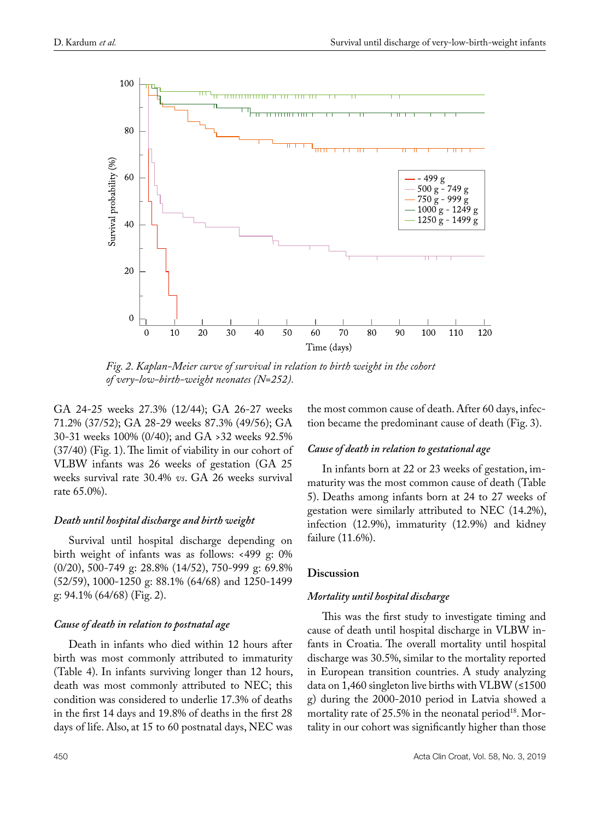

*Fig. 2. Kaplan-Meier curve of survival in relation to birth weight in the cohort of very-low-birth-weight neonates (N=252).*

GA 24-25 weeks 27.3% (12/44); GA 26-27 weeks 71.2% (37/52); GA 28-29 weeks 87.3% (49/56); GA 30-31 weeks 100% (0/40); and GA >32 weeks 92.5% (37/40) (Fig. 1). The limit of viability in our cohort of VLBW infants was 26 weeks of gestation (GA 25 weeks survival rate 30.4% *vs*. GA 26 weeks survival rate 65.0%).

#### *Death until hospital discharge and birth weight*

Survival until hospital discharge depending on birth weight of infants was as follows: <499 g: 0% (0/20), 500-749 g: 28.8% (14/52), 750-999 g: 69.8% (52/59), 1000-1250 g: 88.1% (64/68) and 1250-1499 g: 94.1% (64/68) (Fig. 2).

#### *Cause of death in relation to postnatal age*

Death in infants who died within 12 hours after birth was most commonly attributed to immaturity (Table 4). In infants surviving longer than 12 hours, death was most commonly attributed to NEC; this condition was considered to underlie 17.3% of deaths in the first 14 days and 19.8% of deaths in the first 28 days of life. Also, at 15 to 60 postnatal days, NEC was the most common cause of death. After 60 days, infection became the predominant cause of death (Fig. 3).

#### *Cause of death in relation to gestational age*

In infants born at 22 or 23 weeks of gestation, immaturity was the most common cause of death (Table 5). Deaths among infants born at 24 to 27 weeks of gestation were similarly attributed to NEC (14.2%), infection (12.9%), immaturity (12.9%) and kidney failure (11.6%).

#### **Discussion**

#### *Mortality until hospital discharge*

This was the first study to investigate timing and cause of death until hospital discharge in VLBW infants in Croatia. The overall mortality until hospital discharge was 30.5%, similar to the mortality reported in European transition countries. A study analyzing data on 1,460 singleton live births with VLBW (≤1500 g) during the 2000-2010 period in Latvia showed a mortality rate of 25.5% in the neonatal period<sup>18</sup>. Mortality in our cohort was significantly higher than those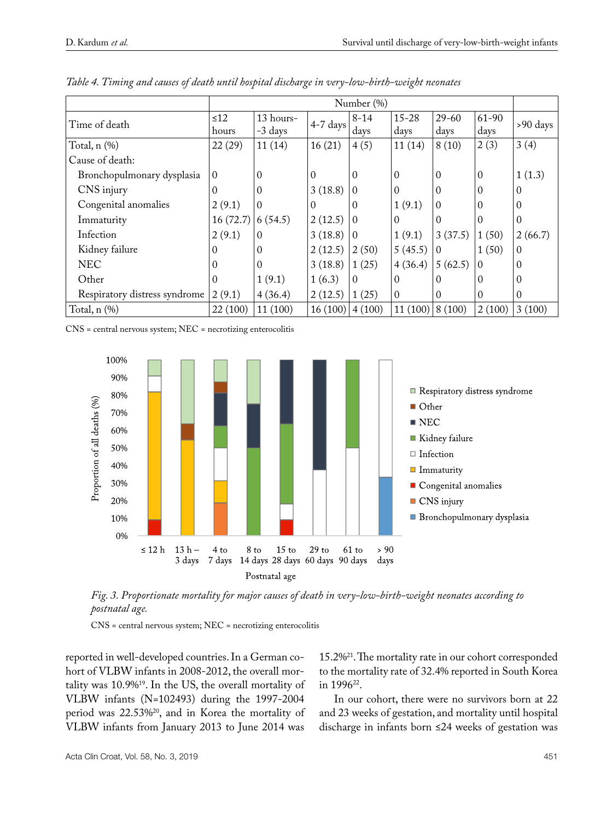|                               | Number (%) |           |          |          |              |           |          |          |
|-------------------------------|------------|-----------|----------|----------|--------------|-----------|----------|----------|
| Time of death                 | $\leq 12$  | 13 hours- | 4-7 days | $8 - 14$ | $15 - 28$    | $29 - 60$ | 61-90    | >90 days |
|                               | hours      | -3 days   |          | days     | days         | days      | days     |          |
| Total, n (%)                  | 22(29)     | 11(14)    | 16(21)   | 4(5)     | 11(14)       | 8(10)     | 2(3)     | 3(4)     |
| Cause of death:               |            |           |          |          |              |           |          |          |
| Bronchopulmonary dysplasia    | $\Omega$   | $\Omega$  | $\Omega$ | $\Omega$ | $\theta$     | $\theta$  | $\Omega$ | 1(1.3)   |
| CNS injury                    | 0          | $\Omega$  | 3(18.8)  | $\Omega$ | 0            | 0         | $\Omega$ | $\Omega$ |
| Congenital anomalies          | 2(9.1)     | $\Omega$  | $\Omega$ | 0        | 1(9.1)       | $\Omega$  | $\Omega$ | $\Omega$ |
| Immaturity                    | 16(72.7)   | 6(54.5)   | 2(12.5)  | $\Omega$ | $\theta$     | $\theta$  | $\Omega$ | $\Omega$ |
| Infection                     | 2(9.1)     | $\Omega$  | 3(18.8)  | $\Omega$ | 1(9.1)       | 3(37.5)   | 1(50)    | 2(66.7)  |
| Kidney failure                | $\Omega$   | $\Omega$  | 2(12.5)  | 2(50)    | 5(45.5)      | $\vert$ 0 | 1(50)    | $\Omega$ |
| <b>NEC</b>                    | 0          | $\theta$  | 3(18.8)  | 1(25)    | 4(36.4)      | 5(62.5)   | $\Omega$ | 0        |
| Other                         | $\Omega$   | 1(9.1)    | 1(6.3)   | $\Omega$ | $\theta$     | $\Omega$  | $\Omega$ | 0        |
| Respiratory distress syndrome | 2(9.1)     | 4(36.4)   | 2(12.5)  | 1(25)    | $\mathbf{0}$ | $\Omega$  | $\Omega$ | 0        |
| Total, $n$ $(\%)$             | 22 (100)   | 11(100)   | 16(100)  | 4(100)   | 11(100)      | 8(100)    | 2(100)   | 3(100)   |

*Table 4. Timing and causes of death until hospital discharge in very-low-birth-weight neonates*

CNS = central nervous system; NEC = necrotizing enterocolitis



*Fig. 3. Proportionate mortality for major causes of death in very-low-birth-weight neonates according to postnatal age.*

CNS = central nervous system; NEC = necrotizing enterocolitis

reported in well-developed countries. In a German cohort of VLBW infants in 2008-2012, the overall mortality was 10.9%19. In the US, the overall mortality of VLBW infants (N=102493) during the 1997-2004 period was 22.53%<sup>20</sup>, and in Korea the mortality of VLBW infants from January 2013 to June 2014 was

15.2%21. The mortality rate in our cohort corresponded to the mortality rate of 32.4% reported in South Korea in 199622.

In our cohort, there were no survivors born at 22 and 23 weeks of gestation, and mortality until hospital discharge in infants born ≤24 weeks of gestation was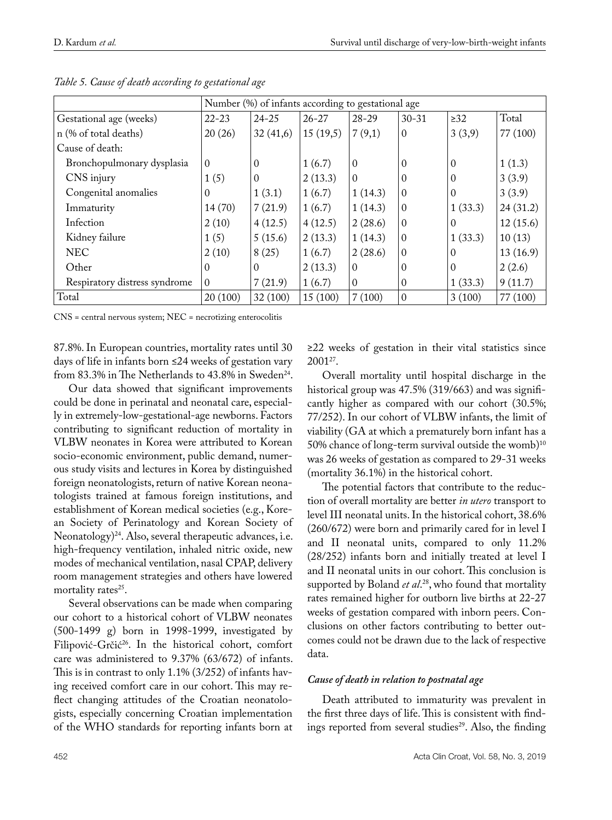| Number (%) of infants according to gestational age |           |           |           |                |           |           |          |  |
|----------------------------------------------------|-----------|-----------|-----------|----------------|-----------|-----------|----------|--|
| Gestational age (weeks)                            | $22 - 23$ | $24 - 25$ | $26 - 27$ | $28 - 29$      | $30 - 31$ | $\geq$ 32 | Total    |  |
| n (% of total deaths)                              | 20(26)    | 32(41,6)  | 15(19,5)  | 7(9,1)         | 0         | 3(3,9)    | 77 (100) |  |
| Cause of death:                                    |           |           |           |                |           |           |          |  |
| Bronchopulmonary dysplasia                         | $\Omega$  | $\Omega$  | 1(6.7)    | $\Omega$       | $\Omega$  | $\Omega$  | 1(1.3)   |  |
| CNS injury                                         | 1(5)      | $\Omega$  | 2(13.3)   | $\overline{0}$ | 0         | $\Omega$  | 3(3.9)   |  |
| Congenital anomalies                               | 0         | 1(3.1)    | 1(6.7)    | 1(14.3)        | $\Omega$  | $\Omega$  | 3(3.9)   |  |
| Immaturity                                         | 14(70)    | 7(21.9)   | 1(6.7)    | 1(14.3)        | $\Omega$  | 1(33.3)   | 24(31.2) |  |
| Infection                                          | 2(10)     | 4(12.5)   | 4(12.5)   | 2(28.6)        | $\Omega$  | $\Omega$  | 12(15.6) |  |
| Kidney failure                                     | 1(5)      | 5(15.6)   | 2(13.3)   | 1(14.3)        | $\Omega$  | 1(33.3)   | 10(13)   |  |
| <b>NEC</b>                                         | 2(10)     | 8(25)     | 1(6.7)    | 2(28.6)        | 0         | $\Omega$  | 13(16.9) |  |
| Other                                              | 0         | $\Omega$  | 2(13.3)   | $\Omega$       | $\Omega$  | $\Omega$  | 2(2.6)   |  |
| Respiratory distress syndrome                      | $\Omega$  | 7(21.9)   | 1(6.7)    | $\Omega$       | $\Omega$  | 1(33.3)   | 9(11.7)  |  |
| Total                                              | 20(100)   | 32(100)   | 15(100)   | 7(100)         | $\Omega$  | 3(100)    | 77 (100) |  |

*Table 5. Cause of death according to gestational age*

CNS = central nervous system; NEC = necrotizing enterocolitis

87.8%. In European countries, mortality rates until 30 days of life in infants born ≤24 weeks of gestation vary from 83.3% in The Netherlands to 43.8% in Sweden<sup>24</sup>.

Our data showed that significant improvements could be done in perinatal and neonatal care, especially in extremely-low-gestational-age newborns. Factors contributing to significant reduction of mortality in VLBW neonates in Korea were attributed to Korean socio-economic environment, public demand, numerous study visits and lectures in Korea by distinguished foreign neonatologists, return of native Korean neonatologists trained at famous foreign institutions, and establishment of Korean medical societies (e.g., Korean Society of Perinatology and Korean Society of Neonatology)24. Also, several therapeutic advances, i.e. high-frequency ventilation, inhaled nitric oxide, new modes of mechanical ventilation, nasal CPAP, delivery room management strategies and others have lowered mortality rates<sup>25</sup>.

Several observations can be made when comparing our cohort to a historical cohort of VLBW neonates (500-1499 g) born in 1998-1999, investigated by Filipović-Grčić26. In the historical cohort, comfort care was administered to 9.37% (63/672) of infants. This is in contrast to only 1.1% (3/252) of infants having received comfort care in our cohort. This may reflect changing attitudes of the Croatian neonatologists, especially concerning Croatian implementation of the WHO standards for reporting infants born at

≥22 weeks of gestation in their vital statistics since 200127.

Overall mortality until hospital discharge in the historical group was 47.5% (319/663) and was significantly higher as compared with our cohort (30.5%; 77/252). In our cohort of VLBW infants, the limit of viability (GA at which a prematurely born infant has a 50% chance of long-term survival outside the womb) $10$ was 26 weeks of gestation as compared to 29-31 weeks (mortality 36.1%) in the historical cohort.

The potential factors that contribute to the reduction of overall mortality are better *in utero* transport to level III neonatal units. In the historical cohort, 38.6% (260/672) were born and primarily cared for in level I and II neonatal units, compared to only 11.2% (28/252) infants born and initially treated at level I and II neonatal units in our cohort. This conclusion is supported by Boland *et al*. 28, who found that mortality rates remained higher for outborn live births at 22-27 weeks of gestation compared with inborn peers. Conclusions on other factors contributing to better outcomes could not be drawn due to the lack of respective data.

## *Cause of death in relation to postnatal age*

Death attributed to immaturity was prevalent in the first three days of life. This is consistent with findings reported from several studies<sup>29</sup>. Also, the finding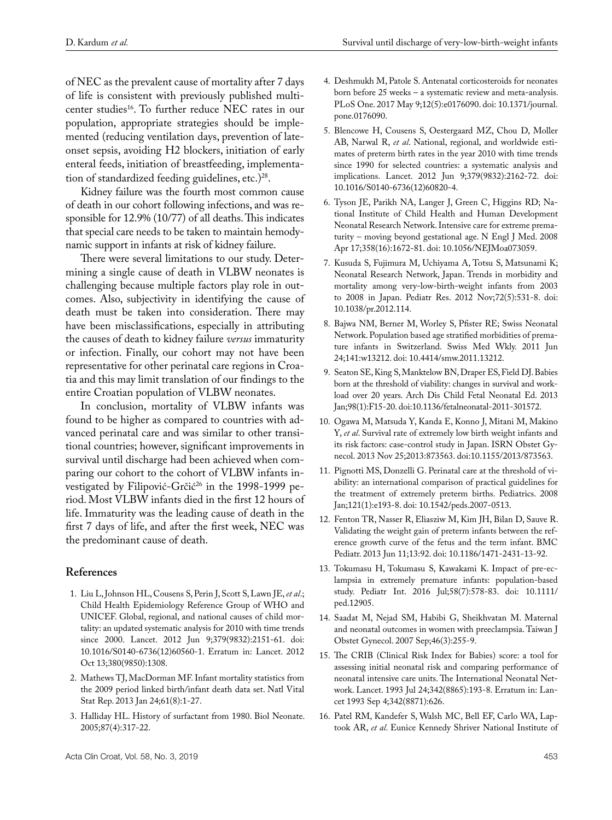of NEC as the prevalent cause of mortality after 7 days of life is consistent with previously published multicenter studies16. To further reduce NEC rates in our population, appropriate strategies should be implemented (reducing ventilation days, prevention of lateonset sepsis, avoiding H2 blockers, initiation of early enteral feeds, initiation of breastfeeding, implementation of standardized feeding guidelines, etc.)<sup>28</sup>.

Kidney failure was the fourth most common cause of death in our cohort following infections, and was responsible for 12.9% (10/77) of all deaths. This indicates that special care needs to be taken to maintain hemodynamic support in infants at risk of kidney failure.

There were several limitations to our study. Determining a single cause of death in VLBW neonates is challenging because multiple factors play role in outcomes. Also, subjectivity in identifying the cause of death must be taken into consideration. There may have been misclassifications, especially in attributing the causes of death to kidney failure *versus* immaturity or infection. Finally, our cohort may not have been representative for other perinatal care regions in Croatia and this may limit translation of our findings to the entire Croatian population of VLBW neonates.

In conclusion, mortality of VLBW infants was found to be higher as compared to countries with advanced perinatal care and was similar to other transitional countries; however, significant improvements in survival until discharge had been achieved when comparing our cohort to the cohort of VLBW infants investigated by Filipović-Grčić<sup>26</sup> in the 1998-1999 period. Most VLBW infants died in the first 12 hours of life. Immaturity was the leading cause of death in the first 7 days of life, and after the first week, NEC was the predominant cause of death.

#### **References**

- 1. Liu L, Johnson HL, Cousens S, Perin J, Scott S, Lawn JE, *et al*.; Child Health Epidemiology Reference Group of WHO and UNICEF. Global, regional, and national causes of child mortality: an updated systematic analysis for 2010 with time trends since 2000. Lancet. 2012 Jun 9;379(9832):2151-61. doi: 10.1016/S0140-6736(12)60560-1. Erratum in: Lancet. 2012 Oct 13;380(9850):1308.
- 2. Mathews TJ, MacDorman MF. Infant mortality statistics from the 2009 period linked birth/infant death data set. Natl Vital Stat Rep. 2013 Jan 24;61(8):1-27.
- 3. Halliday HL. History of surfactant from 1980. Biol Neonate. 2005;87(4):317-22.
- 4. Deshmukh M, Patole S. Antenatal corticosteroids for neonates born before 25 weeks – a systematic review and meta-analysis. PLoS One. 2017 May 9;12(5):e0176090. doi: 10.1371/journal. pone.0176090.
- 5. Blencowe H, Cousens S, Oestergaard MZ, Chou D, Moller AB, Narwal R, *et al*. National, regional, and worldwide estimates of preterm birth rates in the year 2010 with time trends since 1990 for selected countries: a systematic analysis and implications. Lancet. 2012 Jun 9;379(9832):2162-72. doi: 10.1016/S0140-6736(12)60820-4.
- 6. Tyson JE, Parikh NA, Langer J, Green C, Higgins RD; National Institute of Child Health and Human Development Neonatal Research Network. Intensive care for extreme prematurity – moving beyond gestational age. N Engl J Med. 2008 Apr 17;358(16):1672-81. doi: 10.1056/NEJMoa073059.
- 7. Kusuda S, Fujimura M, Uchiyama A, Totsu S, Matsunami K; Neonatal Research Network, Japan. Trends in morbidity and mortality among very-low-birth-weight infants from 2003 to 2008 in Japan. Pediatr Res. 2012 Nov;72(5):531-8. doi: 10.1038/pr.2012.114.
- 8. Bajwa NM, Berner M, Worley S, Pfister RE; Swiss Neonatal Network. Population based age stratified morbidities of premature infants in Switzerland. Swiss Med Wkly. 2011 Jun 24;141:w13212. doi: 10.4414/smw.2011.13212.
- 9. Seaton SE, King S, Manktelow BN, Draper ES, Field DJ. Babies born at the threshold of viability: changes in survival and workload over 20 years. Arch Dis Child Fetal Neonatal Ed. 2013 Jan;98(1):F15-20. doi:10.1136/fetalneonatal-2011-301572.
- 10. Ogawa M, Matsuda Y, Kanda E, Konno J, Mitani M, Makino Y, *et al*. Survival rate of extremely low birth weight infants and its risk factors: case-control study in Japan. ISRN Obstet Gynecol. 2013 Nov 25;2013:873563. doi:10.1155/2013/873563.
- 11. Pignotti MS, Donzelli G. Perinatal care at the threshold of viability: an international comparison of practical guidelines for the treatment of extremely preterm births. Pediatrics. 2008 Jan;121(1):e193-8. doi: 10.1542/peds.2007-0513.
- 12. Fenton TR, Nasser R, Eliasziw M, Kim JH, Bilan D, Sauve R. Validating the weight gain of preterm infants between the reference growth curve of the fetus and the term infant. BMC Pediatr. 2013 Jun 11;13:92. doi: 10.1186/1471-2431-13-92.
- 13. Tokumasu H, Tokumasu S, Kawakami K. Impact of pre-eclampsia in extremely premature infants: population-based study. Pediatr Int. 2016 Jul;58(7):578-83. doi: 10.1111/ ped.12905.
- 14. Saadat M, Nejad SM, Habibi G, Sheikhvatan M. Maternal and neonatal outcomes in women with preeclampsia. Taiwan J Obstet Gynecol. 2007 Sep;46(3):255-9.
- 15. The CRIB (Clinical Risk Index for Babies) score: a tool for assessing initial neonatal risk and comparing performance of neonatal intensive care units. The International Neonatal Network. Lancet. 1993 Jul 24;342(8865):193-8. Erratum in: Lancet 1993 Sep 4;342(8871):626.
- 16. Patel RM, Kandefer S, Walsh MC, Bell EF, Carlo WA, Laptook AR, *et al*. Eunice Kennedy Shriver National Institute of